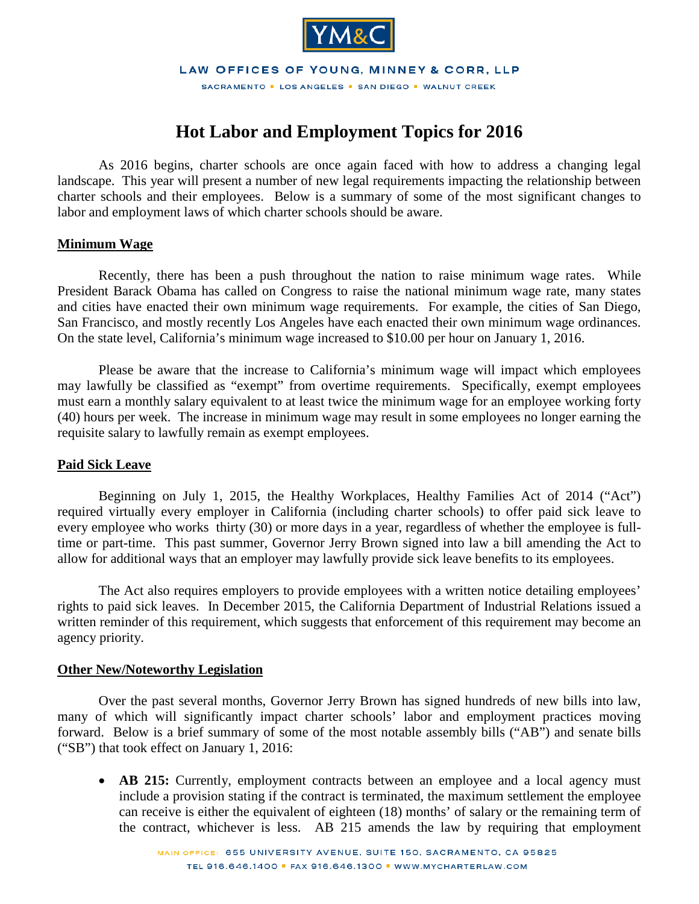

LAW OFFICES OF YOUNG, MINNEY & CORR, LLP

SACRAMENTO . LOS ANGELES . SAN DIEGO . WALNUT CREEK

## **Hot Labor and Employment Topics for 2016**

As 2016 begins, charter schools are once again faced with how to address a changing legal landscape. This year will present a number of new legal requirements impacting the relationship between charter schools and their employees. Below is a summary of some of the most significant changes to labor and employment laws of which charter schools should be aware.

## **Minimum Wage**

Recently, there has been a push throughout the nation to raise minimum wage rates. While President Barack Obama has called on Congress to raise the national minimum wage rate, many states and cities have enacted their own minimum wage requirements. For example, the cities of San Diego, San Francisco, and mostly recently Los Angeles have each enacted their own minimum wage ordinances. On the state level, California's minimum wage increased to \$10.00 per hour on January 1, 2016.

Please be aware that the increase to California's minimum wage will impact which employees may lawfully be classified as "exempt" from overtime requirements. Specifically, exempt employees must earn a monthly salary equivalent to at least twice the minimum wage for an employee working forty (40) hours per week. The increase in minimum wage may result in some employees no longer earning the requisite salary to lawfully remain as exempt employees.

## **Paid Sick Leave**

Beginning on July 1, 2015, the Healthy Workplaces, Healthy Families Act of 2014 ("Act") required virtually every employer in California (including charter schools) to offer paid sick leave to every employee who works thirty (30) or more days in a year, regardless of whether the employee is fulltime or part-time. This past summer, Governor Jerry Brown signed into law a bill amending the Act to allow for additional ways that an employer may lawfully provide sick leave benefits to its employees.

The Act also requires employers to provide employees with a written notice detailing employees' rights to paid sick leaves. In December 2015, the California Department of Industrial Relations issued a written reminder of this requirement, which suggests that enforcement of this requirement may become an agency priority.

## **Other New/Noteworthy Legislation**

Over the past several months, Governor Jerry Brown has signed hundreds of new bills into law, many of which will significantly impact charter schools' labor and employment practices moving forward. Below is a brief summary of some of the most notable assembly bills ("AB") and senate bills ("SB") that took effect on January 1, 2016:

• **AB 215:** Currently, employment contracts between an employee and a local agency must include a provision stating if the contract is terminated, the maximum settlement the employee can receive is either the equivalent of eighteen (18) months' of salary or the remaining term of the contract, whichever is less. AB 215 amends the law by requiring that employment